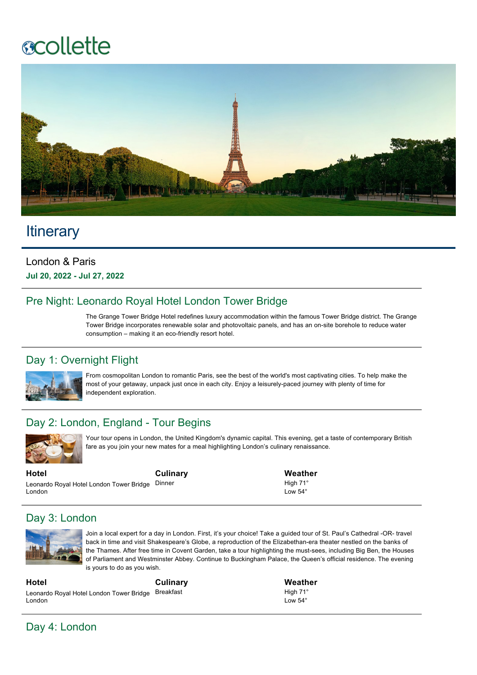# **ecollette**



## **Itinerary**

### London & Paris **Jul 20, 2022 Jul 27, 2022**

## Pre Night: Leonardo Royal Hotel London Tower Bridge

The Grange Tower Bridge Hotel redefines luxury accommodation within the famous Tower Bridge district. The Grange Tower Bridge incorporates renewable solar and photovoltaic panels, and has an on-site borehole to reduce water consumption – making it an eco-friendly resort hotel.

## Day 1: Overnight Flight



From cosmopolitan London to romantic Paris, see the best of the world's most captivating cities. To help make the most of your getaway, unpack just once in each city. Enjoy a leisurely-paced journey with plenty of time for independent exploration.

## Day 2: London, England - Tour Begins



Your tour opens in London, the United Kingdom's dynamic capital. This evening, get a taste of contemporary British fare as you join your new mates for a meal highlighting London's culinary renaissance.

**Hotel** Leonardo Royal Hotel London Tower Bridge Dinner London

**Culinary**

**Weather** High 71°  $Low 54<sup>°</sup>$ 

## Day 3: London



Join a local expert for a day in London. First, it's your choice! Take a quided tour of St. Paul's Cathedral -OR- travel back in time and visit Shakespeare's Globe, a reproduction of the Elizabethan-era theater nestled on the banks of the Thames. After free time in Covent Garden, take a tour highlighting the must-sees, including Big Ben, the Houses of Parliament and Westminster Abbey. Continue to Buckingham Palace, the Queen's official residence. The evening is yours to do as you wish.

**Hotel** Leonardo Royal Hotel London Tower Bridge Breakfast London **Culinary** **Weather** High 71° Low 54°

Day 4: London